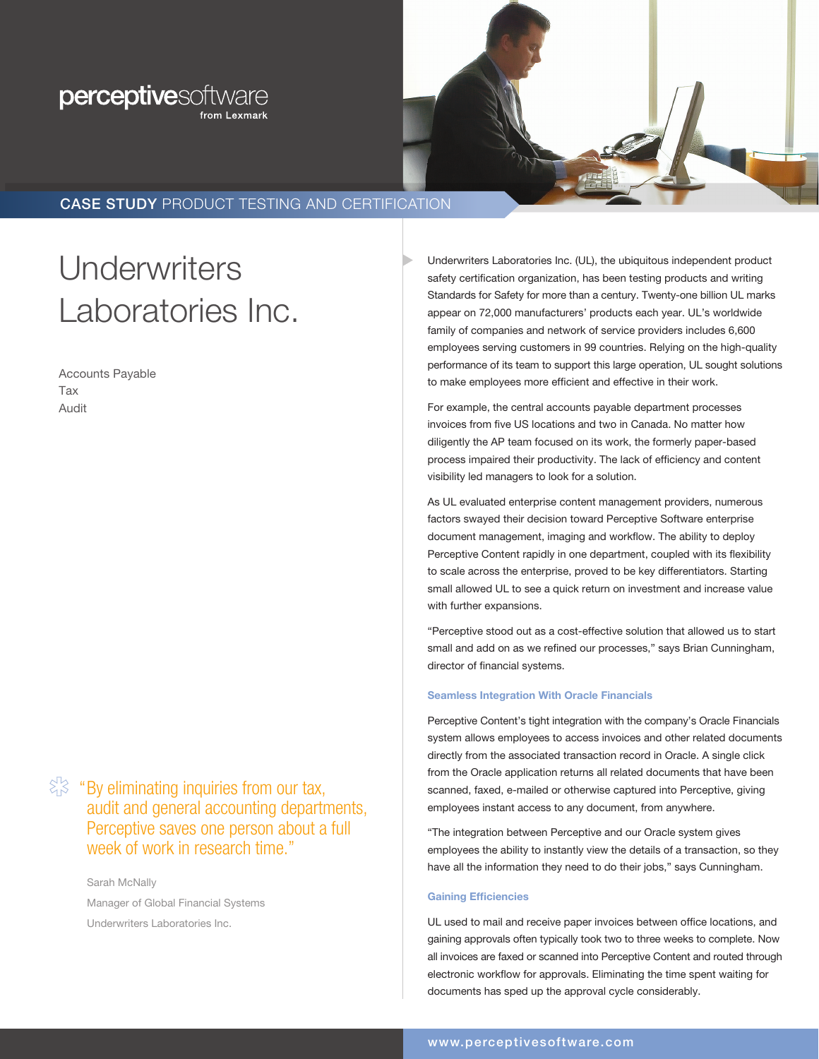## perceptivesoftware from Lexmark



### CASE STUDY PRODUCT TESTING AND CERTIFICATION

# **Underwriters** Laboratories Inc.

Accounts Payable Tax Audit

 $\Im \$  "By eliminating inquiries from our tax, audit and general accounting departments, Perceptive saves one person about a full week of work in research time."

> Sarah McNally Manager of Global Financial Systems Underwriters Laboratories Inc.

Underwriters Laboratories Inc. (UL), the ubiquitous independent product safety certification organization, has been testing products and writing Standards for Safety for more than a century. Twenty-one billion UL marks appear on 72,000 manufacturers' products each year. UL's worldwide family of companies and network of service providers includes 6,600 employees serving customers in 99 countries. Relying on the high-quality performance of its team to support this large operation, UL sought solutions to make employees more efficient and effective in their work.

For example, the central accounts payable department processes invoices from five US locations and two in Canada. No matter how diligently the AP team focused on its work, the formerly paper-based process impaired their productivity. The lack of efficiency and content visibility led managers to look for a solution.

As UL evaluated enterprise content management providers, numerous factors swayed their decision toward Perceptive Software enterprise document management, imaging and workflow. The ability to deploy Perceptive Content rapidly in one department, coupled with its flexibility to scale across the enterprise, proved to be key differentiators. Starting small allowed UL to see a quick return on investment and increase value with further expansions.

"Perceptive stood out as a cost-effective solution that allowed us to start small and add on as we refined our processes," says Brian Cunningham, director of financial systems.

#### Seamless Integration With Oracle Financials

Perceptive Content's tight integration with the company's Oracle Financials system allows employees to access invoices and other related documents directly from the associated transaction record in Oracle. A single click from the Oracle application returns all related documents that have been scanned, faxed, e-mailed or otherwise captured into Perceptive, giving employees instant access to any document, from anywhere.

"The integration between Perceptive and our Oracle system gives employees the ability to instantly view the details of a transaction, so they have all the information they need to do their jobs," says Cunningham.

#### Gaining Efficiencies

UL used to mail and receive paper invoices between office locations, and gaining approvals often typically took two to three weeks to complete. Now all invoices are faxed or scanned into Perceptive Content and routed through electronic workflow for approvals. Eliminating the time spent waiting for documents has sped up the approval cycle considerably.